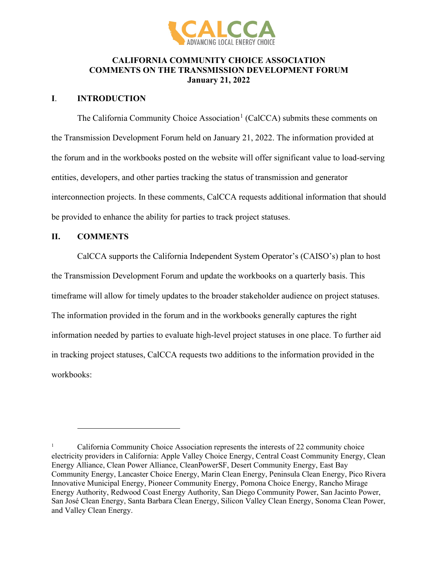

## **CALIFORNIA COMMUNITY CHOICE ASSOCIATION COMMENTS ON THE TRANSMISSION DEVELOPMENT FORUM January 21, 2022**

## **I**. **INTRODUCTION**

The California Community Choice Association<sup>[1](#page-0-0)</sup> (CalCCA) submits these comments on the Transmission Development Forum held on January 21, 2022. The information provided at the forum and in the workbooks posted on the website will offer significant value to load-serving entities, developers, and other parties tracking the status of transmission and generator interconnection projects. In these comments, CalCCA requests additional information that should be provided to enhance the ability for parties to track project statuses.

## **II. COMMENTS**

CalCCA supports the California Independent System Operator's (CAISO's) plan to host the Transmission Development Forum and update the workbooks on a quarterly basis. This timeframe will allow for timely updates to the broader stakeholder audience on project statuses. The information provided in the forum and in the workbooks generally captures the right information needed by parties to evaluate high-level project statuses in one place. To further aid in tracking project statuses, CalCCA requests two additions to the information provided in the workbooks:

<span id="page-0-0"></span><sup>1</sup> California Community Choice Association represents the interests of 22 community choice electricity providers in California: Apple Valley Choice Energy, Central Coast Community Energy, Clean Energy Alliance, Clean Power Alliance, CleanPowerSF, Desert Community Energy, East Bay Community Energy, Lancaster Choice Energy, Marin Clean Energy, Peninsula Clean Energy, Pico Rivera Innovative Municipal Energy, Pioneer Community Energy, Pomona Choice Energy, Rancho Mirage Energy Authority, Redwood Coast Energy Authority, San Diego Community Power, San Jacinto Power, San José Clean Energy, Santa Barbara Clean Energy, Silicon Valley Clean Energy, Sonoma Clean Power, and Valley Clean Energy.